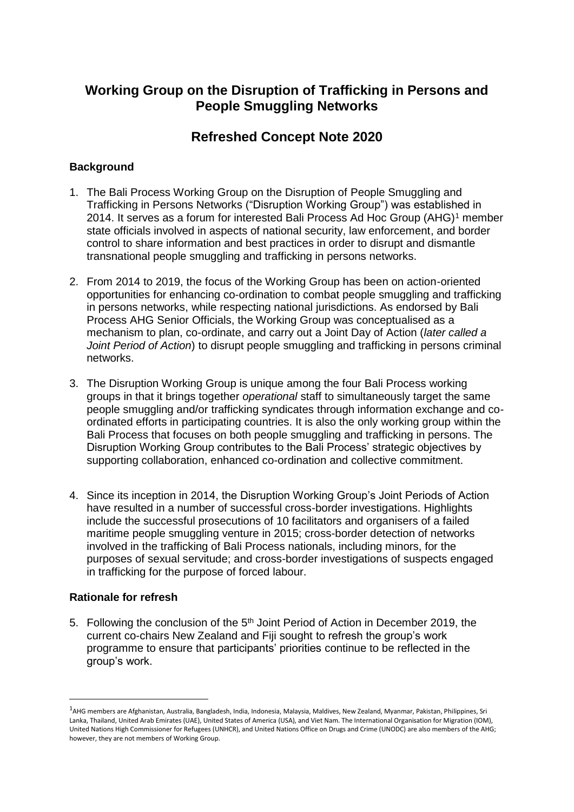# **Working Group on the Disruption of Trafficking in Persons and People Smuggling Networks**

## **Refreshed Concept Note 2020**

## **Background**

- 1. The Bali Process Working Group on the Disruption of People Smuggling and Trafficking in Persons Networks ("Disruption Working Group") was established in 2014. It serves as a forum for interested Bali Process Ad Hoc Group (AHG)<sup>1</sup> member state officials involved in aspects of national security, law enforcement, and border control to share information and best practices in order to disrupt and dismantle transnational people smuggling and trafficking in persons networks.
- 2. From 2014 to 2019, the focus of the Working Group has been on action-oriented opportunities for enhancing co-ordination to combat people smuggling and trafficking in persons networks, while respecting national jurisdictions. As endorsed by Bali Process AHG Senior Officials, the Working Group was conceptualised as a mechanism to plan, co-ordinate, and carry out a Joint Day of Action (*later called a Joint Period of Action*) to disrupt people smuggling and trafficking in persons criminal networks.
- 3. The Disruption Working Group is unique among the four Bali Process working groups in that it brings together *operational* staff to simultaneously target the same people smuggling and/or trafficking syndicates through information exchange and coordinated efforts in participating countries. It is also the only working group within the Bali Process that focuses on both people smuggling and trafficking in persons. The Disruption Working Group contributes to the Bali Process' strategic objectives by supporting collaboration, enhanced co-ordination and collective commitment.
- 4. Since its inception in 2014, the Disruption Working Group's Joint Periods of Action have resulted in a number of successful cross-border investigations. Highlights include the successful prosecutions of 10 facilitators and organisers of a failed maritime people smuggling venture in 2015; cross-border detection of networks involved in the trafficking of Bali Process nationals, including minors, for the purposes of sexual servitude; and cross-border investigations of suspects engaged in trafficking for the purpose of forced labour.

#### **Rationale for refresh**

**.** 

5. Following the conclusion of the 5<sup>th</sup> Joint Period of Action in December 2019, the current co-chairs New Zealand and Fiji sought to refresh the group's work programme to ensure that participants' priorities continue to be reflected in the group's work.

<sup>&</sup>lt;sup>1</sup>AHG members are Afghanistan, Australia, Bangladesh, India, Indonesia, Malaysia, Maldives, New Zealand, Myanmar, Pakistan, Philippines, Sri Lanka, Thailand, United Arab Emirates (UAE), United States of America (USA), and Viet Nam. The International Organisation for Migration (IOM), United Nations High Commissioner for Refugees (UNHCR), and United Nations Office on Drugs and Crime (UNODC) are also members of the AHG; however, they are not members of Working Group.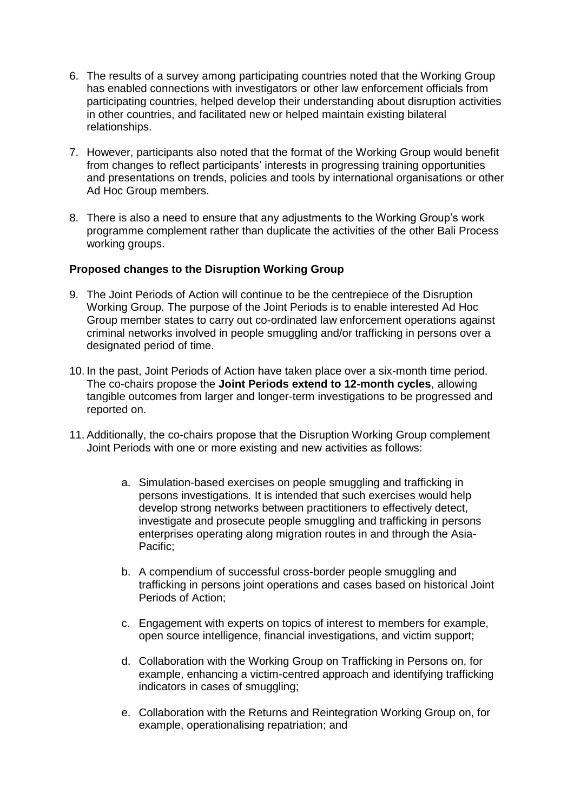- 6. The results of a survey among participating countries noted that the Working Group has enabled connections with investigators or other law enforcement officials from participating countries, helped develop their understanding about disruption activities in other countries, and facilitated new or helped maintain existing bilateral relationships.
- 7. However, participants also noted that the format of the Working Group would benefit from changes to reflect participants' interests in progressing training opportunities and presentations on trends, policies and tools by international organisations or other Ad Hoc Group members.
- 8. There is also a need to ensure that any adjustments to the Working Group's work programme complement rather than duplicate the activities of the other Bali Process working groups.

## **Proposed changes to the Disruption Working Group**

- 9. The Joint Periods of Action will continue to be the centrepiece of the Disruption Working Group. The purpose of the Joint Periods is to enable interested Ad Hoc Group member states to carry out co-ordinated law enforcement operations against criminal networks involved in people smuggling and/or trafficking in persons over a designated period of time.
- 10. In the past, Joint Periods of Action have taken place over a six-month time period. The co-chairs propose the **Joint Periods extend to 12-month cycles**, allowing tangible outcomes from larger and longer-term investigations to be progressed and reported on.
- 11. Additionally, the co-chairs propose that the Disruption Working Group complement Joint Periods with one or more existing and new activities as follows:
	- a. Simulation-based exercises on people smuggling and trafficking in persons investigations*.* It is intended that such exercises would help develop strong networks between practitioners to effectively detect, investigate and prosecute people smuggling and trafficking in persons enterprises operating along migration routes in and through the Asia-Pacific;
	- b. A compendium of successful cross-border people smuggling and trafficking in persons joint operations and cases based on historical Joint Periods of Action;
	- c. Engagement with experts on topics of interest to members for example, open source intelligence, financial investigations, and victim support;
	- d. Collaboration with the Working Group on Trafficking in Persons on, for example, enhancing a victim-centred approach and identifying trafficking indicators in cases of smuggling;
	- e. Collaboration with the Returns and Reintegration Working Group on, for example, operationalising repatriation; and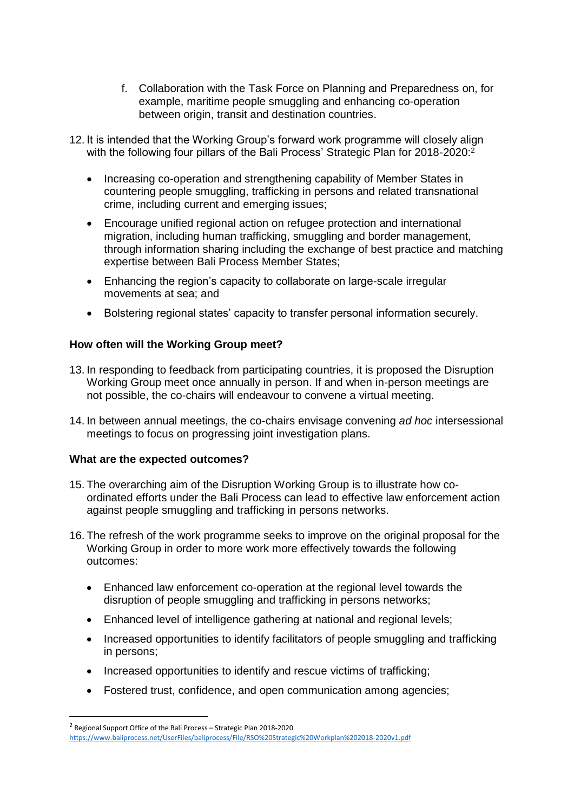- f. Collaboration with the Task Force on Planning and Preparedness on, for example, maritime people smuggling and enhancing co-operation between origin, transit and destination countries.
- 12. It is intended that the Working Group's forward work programme will closely align with the following four pillars of the Bali Process' Strategic Plan for 2018-2020:<sup>2</sup>
	- Increasing co-operation and strengthening capability of Member States in countering people smuggling, trafficking in persons and related transnational crime, including current and emerging issues;
	- Encourage unified regional action on refugee protection and international migration, including human trafficking, smuggling and border management, through information sharing including the exchange of best practice and matching expertise between Bali Process Member States;
	- Enhancing the region's capacity to collaborate on large-scale irregular movements at sea; and
	- Bolstering regional states' capacity to transfer personal information securely.

## **How often will the Working Group meet?**

- 13. In responding to feedback from participating countries, it is proposed the Disruption Working Group meet once annually in person. If and when in-person meetings are not possible, the co-chairs will endeavour to convene a virtual meeting.
- 14. In between annual meetings, the co-chairs envisage convening *ad hoc* intersessional meetings to focus on progressing joint investigation plans.

#### **What are the expected outcomes?**

**.** 

- 15. The overarching aim of the Disruption Working Group is to illustrate how coordinated efforts under the Bali Process can lead to effective law enforcement action against people smuggling and trafficking in persons networks.
- 16. The refresh of the work programme seeks to improve on the original proposal for the Working Group in order to more work more effectively towards the following outcomes:
	- Enhanced law enforcement co-operation at the regional level towards the disruption of people smuggling and trafficking in persons networks;
	- Enhanced level of intelligence gathering at national and regional levels;
	- Increased opportunities to identify facilitators of people smuggling and trafficking in persons;
	- Increased opportunities to identify and rescue victims of trafficking:
	- Fostered trust, confidence, and open communication among agencies;

<sup>&</sup>lt;sup>2</sup> Regional Support Office of the Bali Process - Strategic Plan 2018-2020 <https://www.baliprocess.net/UserFiles/baliprocess/File/RSO%20Strategic%20Workplan%202018-2020v1.pdf>